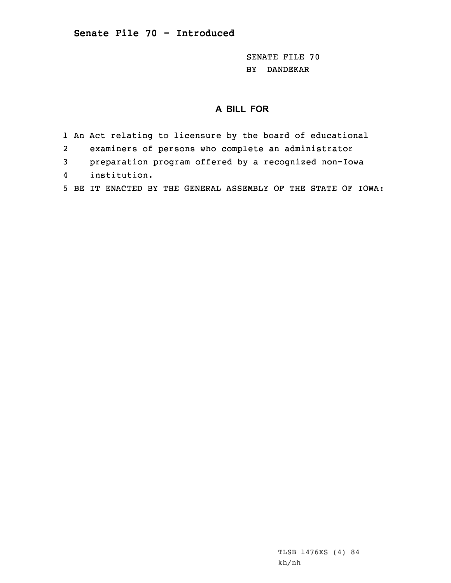SENATE FILE 70 BY DANDEKAR

## **A BILL FOR**

- 1 An Act relating to licensure by the board of educational
- 2examiners of persons who complete an administrator
- 3 preparation program offered by <sup>a</sup> recognized non-Iowa
- 4institution.
- 5 BE IT ENACTED BY THE GENERAL ASSEMBLY OF THE STATE OF IOWA: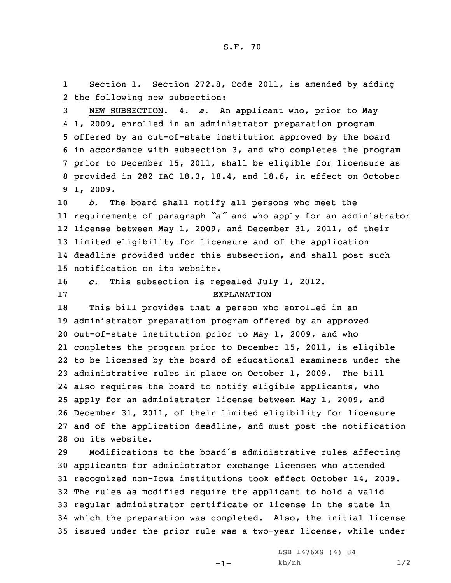1 Section 1. Section 272.8, Code 2011, is amended by adding 2 the following new subsection:

 NEW SUBSECTION. 4. *a.* An applicant who, prior to May 1, 2009, enrolled in an administrator preparation program offered by an out-of-state institution approved by the board in accordance with subsection 3, and who completes the program prior to December 15, 2011, shall be eligible for licensure as provided in 282 IAC 18.3, 18.4, and 18.6, in effect on October 9 1, 2009.

 *b.* The board shall notify all persons who meet the requirements of paragraph *"a"* and who apply for an administrator license between May 1, 2009, and December 31, 2011, of their limited eligibility for licensure and of the application deadline provided under this subsection, and shall post such notification on its website.

16 *c.* This subsection is repealed July 1, 2012. 17 EXPLANATION

 This bill provides that <sup>a</sup> person who enrolled in an administrator preparation program offered by an approved out-of-state institution prior to May 1, 2009, and who completes the program prior to December 15, 2011, is eligible to be licensed by the board of educational examiners under the administrative rules in place on October 1, 2009. The bill also requires the board to notify eligible applicants, who apply for an administrator license between May 1, 2009, and December 31, 2011, of their limited eligibility for licensure and of the application deadline, and must post the notification on its website.

 Modifications to the board's administrative rules affecting applicants for administrator exchange licenses who attended recognized non-Iowa institutions took effect October 14, 2009. The rules as modified require the applicant to hold <sup>a</sup> valid regular administrator certificate or license in the state in which the preparation was completed. Also, the initial license issued under the prior rule was <sup>a</sup> two-year license, while under

-1-

LSB 1476XS (4) 84 kh/nh 1/2